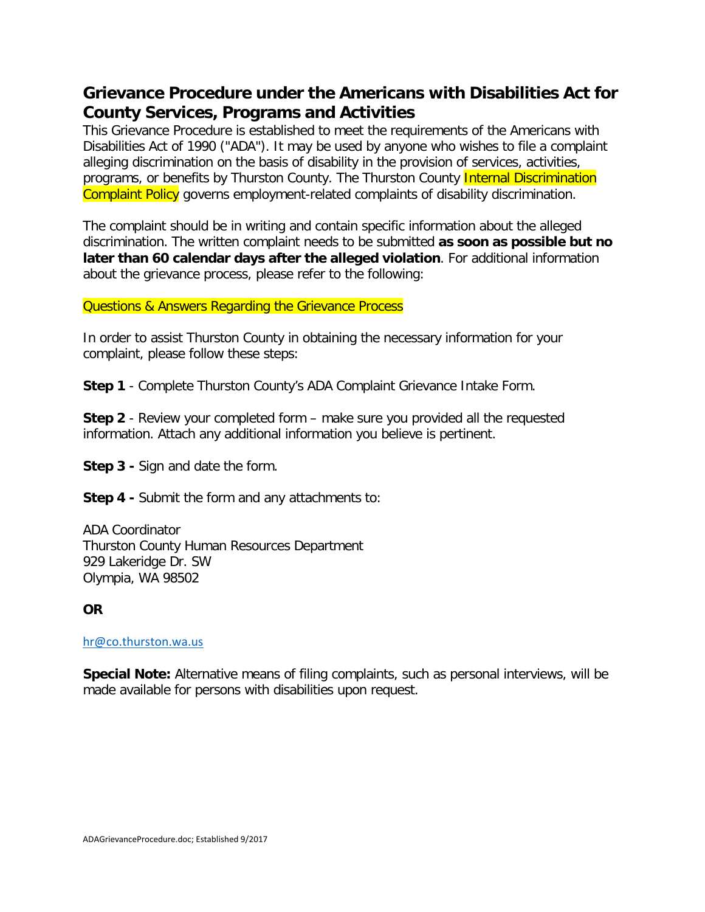# **Grievance Procedure under the Americans with Disabilities Act for County Services, Programs and Activities**

This Grievance Procedure is established to meet the requirements of the Americans with Disabilities Act of 1990 ("ADA"). It may be used by anyone who wishes to file a complaint alleging discrimination on the basis of disability in the provision of services, activities, programs, or benefits by Thurston County. The Thurston County Internal Discrimination Complaint Policy governs employment-related complaints of disability discrimination.

The complaint should be in writing and contain specific information about the alleged discrimination. The written complaint needs to be submitted **as soon as possible but no later than 60 calendar days after the alleged violation**. For additional information about the grievance process, please refer to the following:

#### Questions & Answers Regarding the Grievance Process

In order to assist Thurston County in obtaining the necessary information for your complaint, please follow these steps:

**Step 1** - Complete Thurston County's ADA Complaint Grievance Intake Form.

**Step 2** - Review your completed form – make sure you provided all the requested information. Attach any additional information you believe is pertinent.

**Step 3 -** Sign and date the form.

**Step 4 -** Submit the form and any attachments to:

ADA Coordinator Thurston County Human Resources Department 929 Lakeridge Dr. SW Olympia, WA 98502

**OR**

#### [hr@co.thurston.wa.us](mailto:hr@co.thurston.wa.us)

**Special Note:** Alternative means of filing complaints, such as personal interviews, will be made available for persons with disabilities upon request.